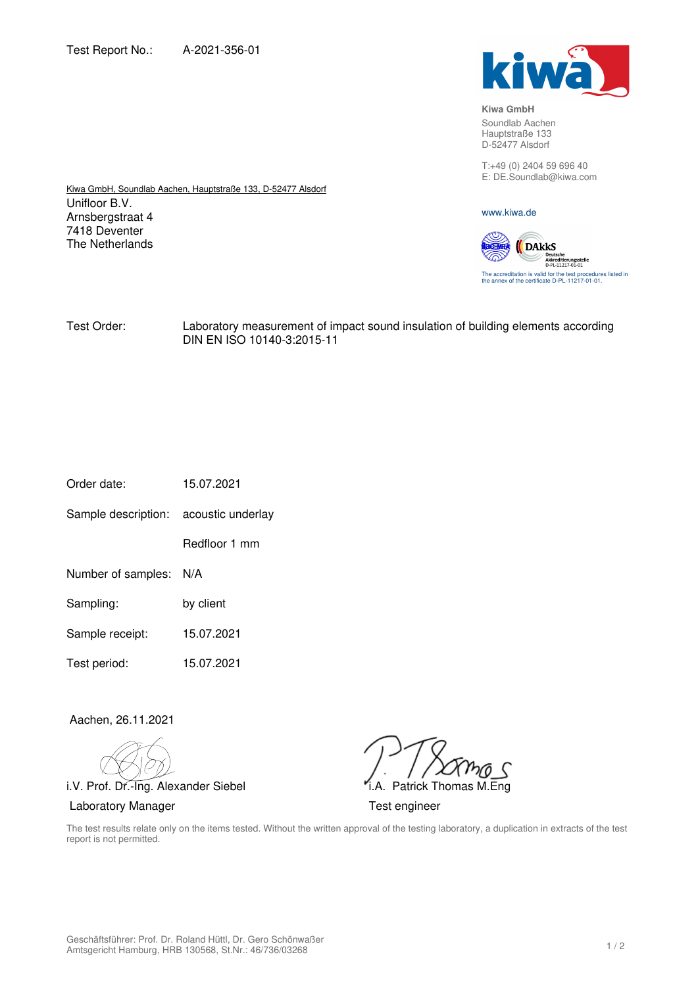Unifloor B.V. Arnsbergstraat 4 7418 Deventer The Netherlands

Kiwa GmbH, Soundlab Aachen, Hauptstraße 133, D-52477 Alsdorf



**Kiwa GmbH**  Soundlab Aachen

Hauptstraße 133 D-52477 Alsdorf

T:+49 (0) 2404 59 696 40 E: DE.Soundlab@kiwa.com

www.kiwa.de

**DAkkS** The accreditation is valid for the test procedures listed in the annex of the certificate D-PL-11217-01-01.

Test Order: Laboratory measurement of impact sound insulation of building elements according DIN EN ISO 10140-3:2015-11

| 15.07.2021 |
|------------|
|            |

Sample description: acoustic underlay

Redfloor 1 mm

- Number of samples: N/A
- Sampling: by client
- Sample receipt: 15.07.2021
- Test period: 15.07.2021

Aachen, 26.11.2021

i.V. Prof. Dr.-Ing. Alexander Siebel **i.A. Patrick Thomas M.Eng** Laboratory Manager **Test engineer** 

The test results relate only on the items tested. Without the written approval of the testing laboratory, a duplication in extracts of the test report is not permitted.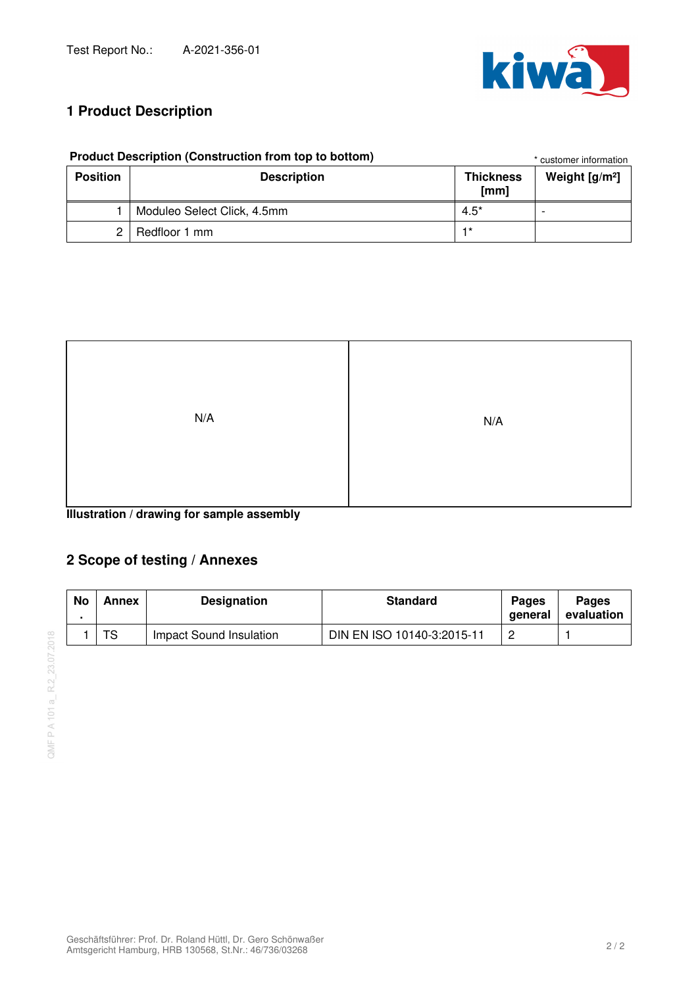

# **1 Product Description**

| <b>Product Description (Construction from top to bottom)</b> | * customer information      |                          |                  |
|--------------------------------------------------------------|-----------------------------|--------------------------|------------------|
| <b>Position</b>                                              | <b>Description</b>          | <b>Thickness</b><br>[mm] | Weight $[g/m^2]$ |
|                                                              | Moduleo Select Click, 4.5mm | $4.5^*$                  |                  |
|                                                              | Redfloor 1 mm               | $+*$                     |                  |

|  | Product Description (Construction from top to bottom |  |  |
|--|------------------------------------------------------|--|--|

**Illustration / drawing for sample assembly**

# **2 Scope of testing / Annexes**

| No | Annex | <b>Designation</b>      | <b>Standard</b>            | <b>Pages</b><br>aeneral | <b>Pages</b><br>evaluation |
|----|-------|-------------------------|----------------------------|-------------------------|----------------------------|
|    | TS    | Impact Sound Insulation | DIN EN ISO 10140-3:2015-11 |                         |                            |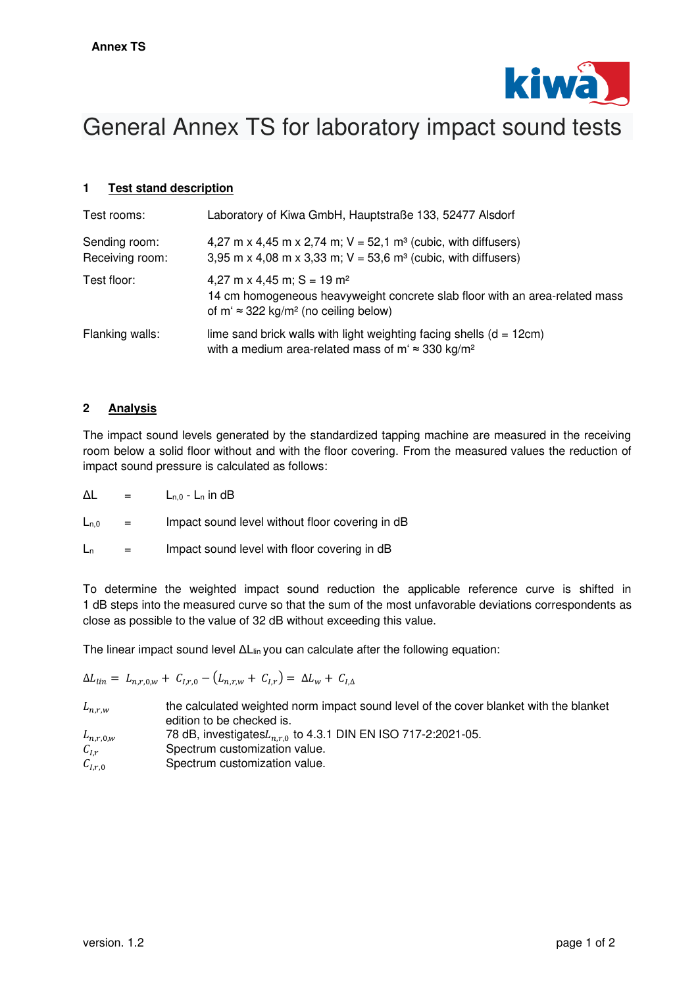

# General Annex TS for laboratory impact sound tests

## **1 Test stand description**

| Test rooms:                      | Laboratory of Kiwa GmbH, Hauptstraße 133, 52477 Alsdorf                                                                                                                             |
|----------------------------------|-------------------------------------------------------------------------------------------------------------------------------------------------------------------------------------|
| Sending room:<br>Receiving room: | 4,27 m x 4,45 m x 2,74 m; $V = 52,1$ m <sup>3</sup> (cubic, with diffusers)<br>3,95 m x 4,08 m x 3,33 m; $V = 53,6$ m <sup>3</sup> (cubic, with diffusers)                          |
| Test floor:                      | 4,27 m x 4,45 m; $S = 19$ m <sup>2</sup><br>14 cm homogeneous heavyweight concrete slab floor with an area-related mass<br>of m' $\approx$ 322 kg/m <sup>2</sup> (no ceiling below) |
| Flanking walls:                  | lime sand brick walls with light weighting facing shells $(d = 12cm)$<br>with a medium area-related mass of m' $\approx$ 330 kg/m <sup>2</sup>                                      |

#### **2 Analysis**

The impact sound levels generated by the standardized tapping machine are measured in the receiving room below a solid floor without and with the floor covering. From the measured values the reduction of impact sound pressure is calculated as follows:

| Δl |  |  | $L_{n,0}$ - $L_n$ in dB |  |
|----|--|--|-------------------------|--|
|----|--|--|-------------------------|--|

 $L_{n,0}$  = Impact sound level without floor covering in dB

 $L_n$  = Impact sound level with floor covering in dB

To determine the weighted impact sound reduction the applicable reference curve is shifted in 1 dB steps into the measured curve so that the sum of the most unfavorable deviations correspondents as close as possible to the value of 32 dB without exceeding this value.

The linear impact sound level ΔL<sub>lin</sub> you can calculate after the following equation:

 $\Delta L_{lin} = L_{n,r0w} + C_{l,r0} - (L_{nrw} + C_{lr}) = \Delta L_w + C_{l\Delta}$ 

| $L_{n,r,w}$   | the calculated weighted norm impact sound level of the cover blanket with the blanket<br>edition to be checked is. |
|---------------|--------------------------------------------------------------------------------------------------------------------|
| $L_{n,r,0,w}$ | 78 dB, investigates $L_{n,r,0}$ to 4.3.1 DIN EN ISO 717-2:2021-05.                                                 |
| $C_{I,r}$     | Spectrum customization value.                                                                                      |
| $C_{I,r,0}$   | Spectrum customization value.                                                                                      |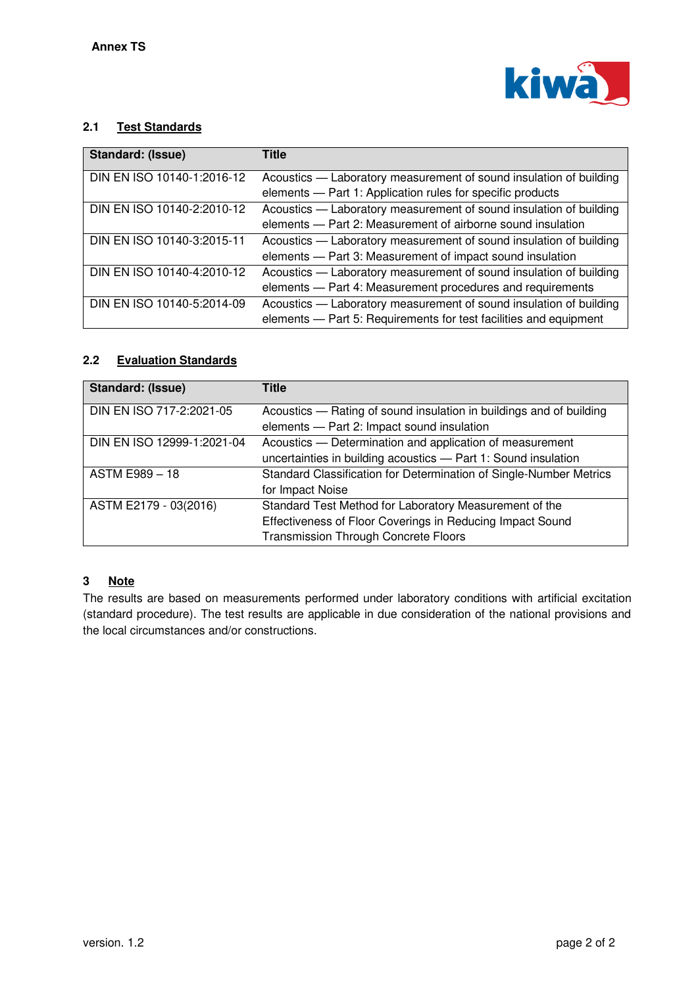

## **2.1 Test Standards**

| Standard: (Issue)          | <b>Title</b>                                                                                                                            |
|----------------------------|-----------------------------------------------------------------------------------------------------------------------------------------|
| DIN EN ISO 10140-1:2016-12 | Acoustics - Laboratory measurement of sound insulation of building<br>elements - Part 1: Application rules for specific products        |
| DIN EN ISO 10140-2:2010-12 | Acoustics — Laboratory measurement of sound insulation of building<br>elements - Part 2: Measurement of airborne sound insulation       |
| DIN EN ISO 10140-3:2015-11 | Acoustics — Laboratory measurement of sound insulation of building<br>elements - Part 3: Measurement of impact sound insulation         |
| DIN EN ISO 10140-4:2010-12 | Acoustics — Laboratory measurement of sound insulation of building<br>elements - Part 4: Measurement procedures and requirements        |
| DIN EN ISO 10140-5:2014-09 | Acoustics — Laboratory measurement of sound insulation of building<br>elements - Part 5: Requirements for test facilities and equipment |

# **2.2 Evaluation Standards**

| Standard: (Issue)          | Title                                                                                                                                                              |
|----------------------------|--------------------------------------------------------------------------------------------------------------------------------------------------------------------|
| DIN EN ISO 717-2:2021-05   | Acoustics — Rating of sound insulation in buildings and of building<br>elements - Part 2: Impact sound insulation                                                  |
| DIN EN ISO 12999-1:2021-04 | Acoustics - Determination and application of measurement<br>uncertainties in building acoustics - Part 1: Sound insulation                                         |
| <b>ASTM E989 - 18</b>      | Standard Classification for Determination of Single-Number Metrics<br>for Impact Noise                                                                             |
| ASTM E2179 - 03(2016)      | Standard Test Method for Laboratory Measurement of the<br>Effectiveness of Floor Coverings in Reducing Impact Sound<br><b>Transmission Through Concrete Floors</b> |

## **3 Note**

The results are based on measurements performed under laboratory conditions with artificial excitation (standard procedure). The test results are applicable in due consideration of the national provisions and the local circumstances and/or constructions.